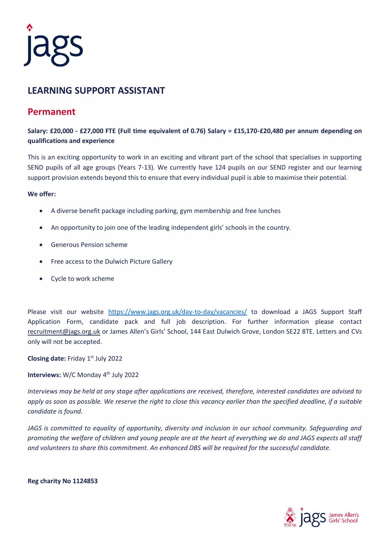

## **LEARNING SUPPORT ASSISTANT**

## **Permanent**

**Salary: £20,000 - £27,000 FTE (Full time equivalent of 0.76) Salary = £15,170-£20,480 per annum depending on qualifications and experience**

This is an exciting opportunity to work in an exciting and vibrant part of the school that specialises in supporting SEND pupils of all age groups (Years 7-13). We currently have 124 pupils on our SEND register and our learning support provision extends beyond this to ensure that every individual pupil is able to maximise their potential.

## **We offer:**

- A diverse benefit package including parking, gym membership and free lunches
- An opportunity to join one of the leading independent girls' schools in the country.
- Generous Pension scheme
- Free access to the Dulwich Picture Gallery
- Cycle to work scheme

Please visit our website <https://www.jags.org.uk/day-to-day/vacancies/> to download a JAGS Support Staff Application Form, candidate pack and full job description. For further information please contact [recruitment@jags.org.uk](mailto:recruitment@jags.org.uk) or James Allen's Girls' School, 144 East Dulwich Grove, London SE22 8TE. Letters and CVs only will not be accepted.

**Closing date: Friday 1st July 2022** 

Interviews: W/C Monday 4<sup>th</sup> July 2022

*Interviews may be held at any stage after applications are received, therefore, interested candidates are advised to apply as soon as possible. We reserve the right to close this vacancy earlier than the specified deadline, if a suitable candidate is found.*

*JAGS is committed to equality of opportunity, diversity and inclusion in our school community. Safeguarding and promoting the welfare of children and young people are at the heart of everything we do and JAGS expects all staff and volunteers to share this commitment. An enhanced DBS will be required for the successful candidate.* 

**Reg charity No 1124853**